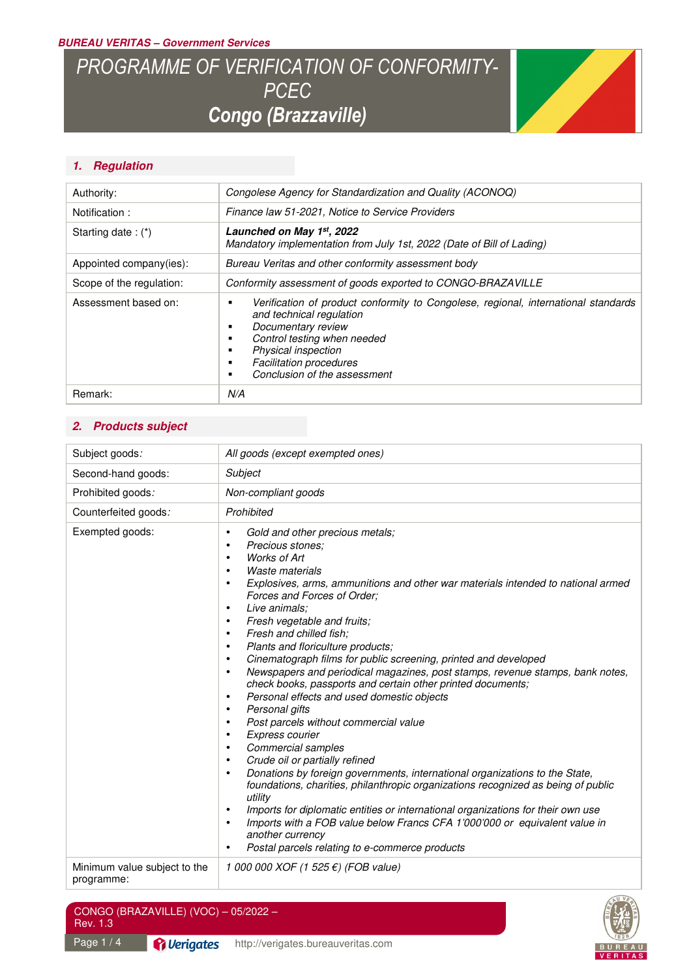#### *BUREAU VERITAS – Government Services*

# *PROGRAMME OF VERIFICATION OF CONFORMITY-PCEC Congo (Brazzaville)*



# *1. Regulation*

| Authority:               | Congolese Agency for Standardization and Quality (ACONOQ)                                                                                                                                                                                                                             |  |
|--------------------------|---------------------------------------------------------------------------------------------------------------------------------------------------------------------------------------------------------------------------------------------------------------------------------------|--|
| Notification:            | Finance law 51-2021, Notice to Service Providers                                                                                                                                                                                                                                      |  |
| Starting date: $(*)$     | Launched on May 1st, 2022<br>Mandatory implementation from July 1st, 2022 (Date of Bill of Lading)                                                                                                                                                                                    |  |
| Appointed company(ies):  | Bureau Veritas and other conformity assessment body                                                                                                                                                                                                                                   |  |
| Scope of the regulation: | Conformity assessment of goods exported to CONGO-BRAZAVILLE                                                                                                                                                                                                                           |  |
| Assessment based on:     | Verification of product conformity to Congolese, regional, international standards<br>٠<br>and technical regulation<br>Documentary review<br>٠<br>Control testing when needed<br>٠<br>Physical inspection<br>٠<br><b>Facilitation procedures</b><br>٠<br>Conclusion of the assessment |  |
| Remark:                  | N/A                                                                                                                                                                                                                                                                                   |  |

# *2. Products subject*

| Subject goods:                             | All goods (except exempted ones)                                                                                                                                                                                                                                                                                                                                                                                                                                                                                                                                                                                                                                                                                                                                                                                                                                                                                                                                                                                                                                                                                                                                                                                                                                                                                                                                                                                                       |
|--------------------------------------------|----------------------------------------------------------------------------------------------------------------------------------------------------------------------------------------------------------------------------------------------------------------------------------------------------------------------------------------------------------------------------------------------------------------------------------------------------------------------------------------------------------------------------------------------------------------------------------------------------------------------------------------------------------------------------------------------------------------------------------------------------------------------------------------------------------------------------------------------------------------------------------------------------------------------------------------------------------------------------------------------------------------------------------------------------------------------------------------------------------------------------------------------------------------------------------------------------------------------------------------------------------------------------------------------------------------------------------------------------------------------------------------------------------------------------------------|
| Second-hand goods:                         | Subject                                                                                                                                                                                                                                                                                                                                                                                                                                                                                                                                                                                                                                                                                                                                                                                                                                                                                                                                                                                                                                                                                                                                                                                                                                                                                                                                                                                                                                |
| Prohibited goods:                          | Non-compliant goods                                                                                                                                                                                                                                                                                                                                                                                                                                                                                                                                                                                                                                                                                                                                                                                                                                                                                                                                                                                                                                                                                                                                                                                                                                                                                                                                                                                                                    |
| Counterfeited goods:                       | Prohibited                                                                                                                                                                                                                                                                                                                                                                                                                                                                                                                                                                                                                                                                                                                                                                                                                                                                                                                                                                                                                                                                                                                                                                                                                                                                                                                                                                                                                             |
| Exempted goods:                            | Gold and other precious metals;<br>٠<br>Precious stones;<br>$\bullet$<br>Works of Art<br>$\bullet$<br><b>Waste materials</b><br>$\bullet$<br>Explosives, arms, ammunitions and other war materials intended to national armed<br>$\bullet$<br>Forces and Forces of Order;<br>Live animals;<br>$\bullet$<br>Fresh vegetable and fruits;<br>$\bullet$<br>Fresh and chilled fish;<br>$\bullet$<br>Plants and floriculture products;<br>$\bullet$<br>Cinematograph films for public screening, printed and developed<br>$\bullet$<br>Newspapers and periodical magazines, post stamps, revenue stamps, bank notes,<br>$\bullet$<br>check books, passports and certain other printed documents;<br>Personal effects and used domestic objects<br>$\bullet$<br>Personal gifts<br>$\bullet$<br>Post parcels without commercial value<br>$\bullet$<br>Express courier<br>$\bullet$<br><b>Commercial samples</b><br>$\bullet$<br>Crude oil or partially refined<br>٠<br>Donations by foreign governments, international organizations to the State,<br>$\bullet$<br>foundations, charities, philanthropic organizations recognized as being of public<br>utility<br>Imports for diplomatic entities or international organizations for their own use<br>$\bullet$<br>Imports with a FOB value below Francs CFA 1'000'000 or equivalent value in<br>$\bullet$<br>another currency<br>Postal parcels relating to e-commerce products<br>$\bullet$ |
| Minimum value subject to the<br>programme: | 1 000 000 XOF (1 525 €) (FOB value)                                                                                                                                                                                                                                                                                                                                                                                                                                                                                                                                                                                                                                                                                                                                                                                                                                                                                                                                                                                                                                                                                                                                                                                                                                                                                                                                                                                                    |
| CONGO (BRAZAVILLE) (VOC) - 05/2022 -       |                                                                                                                                                                                                                                                                                                                                                                                                                                                                                                                                                                                                                                                                                                                                                                                                                                                                                                                                                                                                                                                                                                                                                                                                                                                                                                                                                                                                                                        |
| Rev. 1.3                                   |                                                                                                                                                                                                                                                                                                                                                                                                                                                                                                                                                                                                                                                                                                                                                                                                                                                                                                                                                                                                                                                                                                                                                                                                                                                                                                                                                                                                                                        |

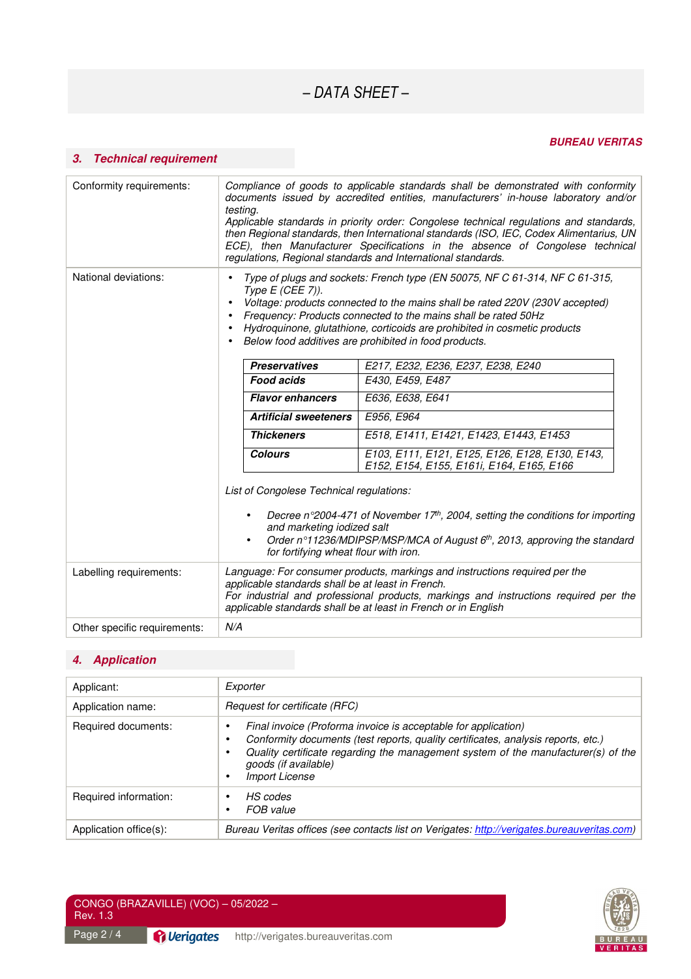# *BUREAU VERITAS*

# *3. Technical requirement*

| Conformity requirements:                                                                                                     | Compliance of goods to applicable standards shall be demonstrated with conformity<br>documents issued by accredited entities, manufacturers' in-house laboratory and/or<br>testing.<br>Applicable standards in priority order: Congolese technical regulations and standards,<br>then Regional standards, then International standards (ISO, IEC, Codex Alimentarius, UN<br>ECE), then Manufacturer Specifications in the absence of Congolese technical<br>regulations, Regional standards and International standards. |                                                                                                                                                                                      |  |
|------------------------------------------------------------------------------------------------------------------------------|--------------------------------------------------------------------------------------------------------------------------------------------------------------------------------------------------------------------------------------------------------------------------------------------------------------------------------------------------------------------------------------------------------------------------------------------------------------------------------------------------------------------------|--------------------------------------------------------------------------------------------------------------------------------------------------------------------------------------|--|
| National deviations:                                                                                                         | Type of plugs and sockets: French type (EN 50075, NF C 61-314, NF C 61-315,<br>Type E (CEE 7)).<br>Voltage: products connected to the mains shall be rated 220V (230V accepted)<br>Frequency: Products connected to the mains shall be rated 50Hz<br>Hydroquinone, glutathione, corticoids are prohibited in cosmetic products<br>Below food additives are prohibited in food products.                                                                                                                                  |                                                                                                                                                                                      |  |
|                                                                                                                              | <b>Preservatives</b>                                                                                                                                                                                                                                                                                                                                                                                                                                                                                                     | E217, E232, E236, E237, E238, E240                                                                                                                                                   |  |
|                                                                                                                              | <b>Food acids</b>                                                                                                                                                                                                                                                                                                                                                                                                                                                                                                        | E430, E459, E487                                                                                                                                                                     |  |
|                                                                                                                              | <b>Flavor enhancers</b>                                                                                                                                                                                                                                                                                                                                                                                                                                                                                                  | E636, E638, E641                                                                                                                                                                     |  |
|                                                                                                                              | <b>Artificial sweeteners</b>                                                                                                                                                                                                                                                                                                                                                                                                                                                                                             | E956, E964                                                                                                                                                                           |  |
|                                                                                                                              | <b>Thickeners</b>                                                                                                                                                                                                                                                                                                                                                                                                                                                                                                        | E518, E1411, E1421, E1423, E1443, E1453                                                                                                                                              |  |
|                                                                                                                              | <b>Colours</b>                                                                                                                                                                                                                                                                                                                                                                                                                                                                                                           | E103, E111, E121, E125, E126, E128, E130, E143,<br>E152, E154, E155, E161i, E164, E165, E166                                                                                         |  |
| List of Congolese Technical regulations:<br>and marketing iodized salt<br>$\bullet$<br>for fortifying wheat flour with iron. |                                                                                                                                                                                                                                                                                                                                                                                                                                                                                                                          | Decree n°2004-471 of November 17 <sup>th</sup> , 2004, setting the conditions for importing<br>Order n°11236/MDIPSP/MSP/MCA of August 6 <sup>th</sup> , 2013, approving the standard |  |
| Labelling requirements:                                                                                                      | Language: For consumer products, markings and instructions required per the<br>applicable standards shall be at least in French.<br>For industrial and professional products, markings and instructions required per the<br>applicable standards shall be at least in French or in English                                                                                                                                                                                                                               |                                                                                                                                                                                      |  |
| Other specific requirements:                                                                                                 | N/A                                                                                                                                                                                                                                                                                                                                                                                                                                                                                                                      |                                                                                                                                                                                      |  |

# *4. Application*

| Applicant:             | Exporter                                                                                                                                                                                                                                                                                  |  |
|------------------------|-------------------------------------------------------------------------------------------------------------------------------------------------------------------------------------------------------------------------------------------------------------------------------------------|--|
| Application name:      | Request for certificate (RFC)                                                                                                                                                                                                                                                             |  |
| Required documents:    | Final invoice (Proforma invoice is acceptable for application)<br>Conformity documents (test reports, quality certificates, analysis reports, etc.)<br>Quality certificate regarding the management system of the manufacturer(s) of the<br>goods (if available)<br><b>Import License</b> |  |
| Required information:  | HS codes<br>FOB value                                                                                                                                                                                                                                                                     |  |
| Application office(s): | Bureau Veritas offices (see contacts list on Verigates: http://verigates.bureauveritas.com)                                                                                                                                                                                               |  |

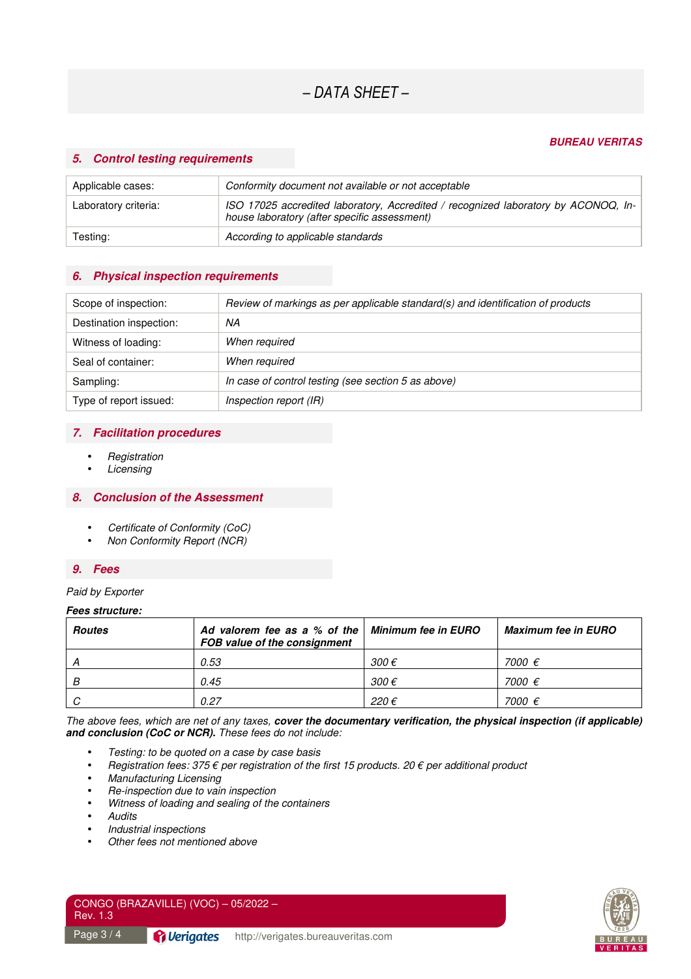#### *BUREAU VERITAS*

## *5. Control testing requirements*

| Applicable cases:    | Conformity document not available or not acceptable                                                                                |
|----------------------|------------------------------------------------------------------------------------------------------------------------------------|
| Laboratory criteria: | ISO 17025 accredited laboratory, Accredited / recognized laboratory by ACONOQ, In-<br>house laboratory (after specific assessment) |
| Testing:             | According to applicable standards                                                                                                  |

## *6. Physical inspection requirements*

| Scope of inspection:    | Review of markings as per applicable standard(s) and identification of products |
|-------------------------|---------------------------------------------------------------------------------|
| Destination inspection: | ΝA                                                                              |
| Witness of loading:     | When required                                                                   |
| Seal of container:      | When required                                                                   |
| Sampling:               | In case of control testing (see section 5 as above)                             |
| Type of report issued:  | Inspection report (IR)                                                          |

# *7. Facilitation procedures*

- **Registration**
- **Licensing**

#### *8. Conclusion of the Assessment*

- Certificate of Conformity (CoC)
- Non Conformity Report (NCR)

#### *9. Fees*

#### Paid by Exporter

#### *Fees structure:*

| <b>Routes</b> | Ad valorem fee as a % of the $\vert$ Minimum fee in EURO<br>FOB value of the consignment |                | <b>Maximum fee in EURO</b> |
|---------------|------------------------------------------------------------------------------------------|----------------|----------------------------|
|               | 0.53                                                                                     | 300 $\epsilon$ | 7000 €                     |
| B             | 0.45                                                                                     | 300 $\epsilon$ | 7000 €                     |
| $\sim$        | 0.27                                                                                     | 220€           | 7000 €                     |

The above fees, which are net of any taxes, *cover the documentary verification, the physical inspection (if applicable) and conclusion (CoC or NCR).* These fees do not include:

- Testing: to be quoted on a case by case basis
- Registration fees: 375  $\epsilon$  per registration of the first 15 products. 20  $\epsilon$  per additional product
- Manufacturing Licensing
- Re-inspection due to vain inspection
- Witness of loading and sealing of the containers
- Audits
- Industrial inspections
- Other fees not mentioned above



| Rev. 1.3 | CONGO (BRAZAVILLE) (VOC) $-$ 05/2022 $-$ |
|----------|------------------------------------------|
|          |                                          |